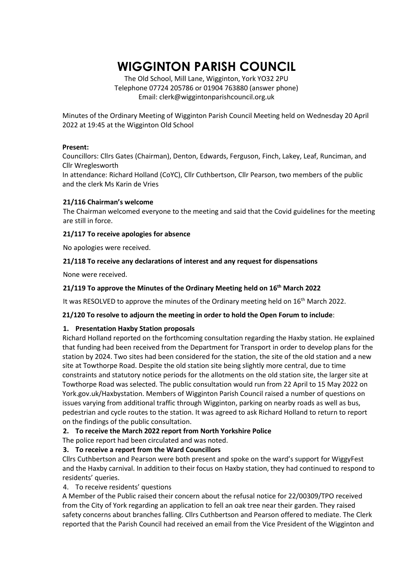# **WIGGINTON PARISH COUNCIL**

The Old School, Mill Lane, Wigginton, York YO32 2PU Telephone 07724 205786 or 01904 763880 (answer phone) Email: clerk@wiggintonparishcouncil.org.uk

Minutes of the Ordinary Meeting of Wigginton Parish Council Meeting held on Wednesday 20 April 2022 at 19:45 at the Wigginton Old School

#### **Present:**

Councillors: Cllrs Gates (Chairman), Denton, Edwards, Ferguson, Finch, Lakey, Leaf, Runciman, and Cllr Wreglesworth

In attendance: Richard Holland (CoYC), Cllr Cuthbertson, Cllr Pearson, two members of the public and the clerk Ms Karin de Vries

#### **21/116 Chairman's welcome**

The Chairman welcomed everyone to the meeting and said that the Covid guidelines for the meeting are still in force.

#### **21/117 To receive apologies for absence**

No apologies were received.

# **21/118 To receive any declarations of interest and any request for dispensations**

None were received.

# **21/119 To approve the Minutes of the Ordinary Meeting held on 16 th March 2022**

It was RESOLVED to approve the minutes of the Ordinary meeting held on 16<sup>th</sup> March 2022.

#### **21/120 To resolve to adjourn the meeting in order to hold the Open Forum to include**:

# **1. Presentation Haxby Station proposals**

Richard Holland reported on the forthcoming consultation regarding the Haxby station. He explained that funding had been received from the Department for Transport in order to develop plans for the station by 2024. Two sites had been considered for the station, the site of the old station and a new site at Towthorpe Road. Despite the old station site being slightly more central, due to time constraints and statutory notice periods for the allotments on the old station site, the larger site at Towthorpe Road was selected. The public consultation would run from 22 April to 15 May 2022 on York.gov.uk/Haxbystation. Members of Wigginton Parish Council raised a number of questions on issues varying from additional traffic through Wigginton, parking on nearby roads as well as bus, pedestrian and cycle routes to the station. It was agreed to ask Richard Holland to return to report on the findings of the public consultation.

# **2. To receive the March 2022 report from North Yorkshire Police**

The police report had been circulated and was noted.

# **3. To receive a report from the Ward Councillors**

Cllrs Cuthbertson and Pearson were both present and spoke on the ward's support for WiggyFest and the Haxby carnival. In addition to their focus on Haxby station, they had continued to respond to residents' queries.

# 4. To receive residents' questions

A Member of the Public raised their concern about the refusal notice for 22/00309/TPO received from the City of York regarding an application to fell an oak tree near their garden. They raised safety concerns about branches falling. Cllrs Cuthbertson and Pearson offered to mediate. The Clerk reported that the Parish Council had received an email from the Vice President of the Wigginton and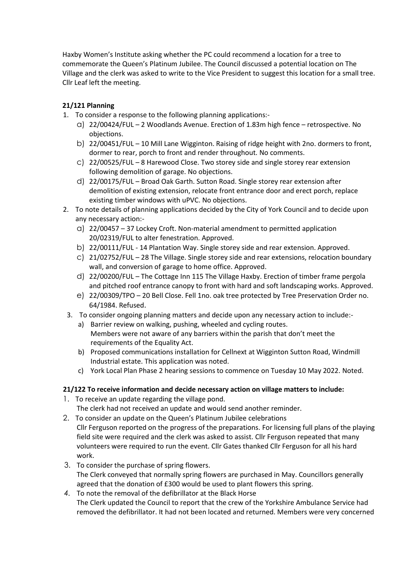Haxby Women's Institute asking whether the PC could recommend a location for a tree to commemorate the Queen's Platinum Jubilee. The Council discussed a potential location on The Village and the clerk was asked to write to the Vice President to suggest this location for a small tree. Cllr Leaf left the meeting.

# **21/121 Planning**

- 1. To consider a response to the following planning applications:
	- a) 22/00424/FUL 2 Woodlands Avenue. Erection of 1.83m high fence retrospective. No objections.
	- b) 22/00451/FUL 10 Mill Lane Wigginton. Raising of ridge height with 2no. dormers to front, dormer to rear, porch to front and render throughout. No comments.
	- c) 22/00525/FUL 8 Harewood Close. Two storey side and single storey rear extension following demolition of garage. No objections.
	- d) 22/00175/FUL Broad Oak Garth. Sutton Road. Single storey rear extension after demolition of existing extension, relocate front entrance door and erect porch, replace existing timber windows with uPVC. No objections.
- 2. To note details of planning applications decided by the City of York Council and to decide upon any necessary action:
	- a) 22/00457 37 Lockey Croft. Non-material amendment to permitted application 20/02319/FUL to alter fenestration. Approved.
	- b) 22/00111/FUL 14 Plantation Way. Single storey side and rear extension. Approved.
	- c) 21/02752/FUL 28 The Village. Single storey side and rear extensions, relocation boundary wall, and conversion of garage to home office. Approved.
	- d) 22/00200/FUL The Cottage Inn 115 The Village Haxby. Erection of timber frame pergola and pitched roof entrance canopy to front with hard and soft landscaping works. Approved.
	- e) 22/00309/TPO 20 Bell Close. Fell 1no. oak tree protected by Tree Preservation Order no. 64/1984. Refused.
- 3. To consider ongoing planning matters and decide upon any necessary action to include:
	- a) Barrier review on walking, pushing, wheeled and cycling routes. Members were not aware of any barriers within the parish that don't meet the requirements of the Equality Act.
	- b) Proposed communications installation for Cellnext at Wigginton Sutton Road, Windmill Industrial estate. This application was noted.
	- c) York Local Plan Phase 2 hearing sessions to commence on Tuesday 10 May 2022. Noted.

# **21/122 To receive information and decide necessary action on village matters to include:**

- 1. To receive an update regarding the village pond. The clerk had not received an update and would send another reminder.
- 2. To consider an update on the Queen's Platinum Jubilee celebrations Cllr Ferguson reported on the progress of the preparations. For licensing full plans of the playing field site were required and the clerk was asked to assist. Cllr Ferguson repeated that many volunteers were required to run the event. Cllr Gates thanked Cllr Ferguson for all his hard work.
- 3. To consider the purchase of spring flowers. The Clerk conveyed that normally spring flowers are purchased in May. Councillors generally agreed that the donation of £300 would be used to plant flowers this spring.
- *4.* To note the removal of the defibrillator at the Black Horse The Clerk updated the Council to report that the crew of the Yorkshire Ambulance Service had removed the defibrillator. It had not been located and returned. Members were very concerned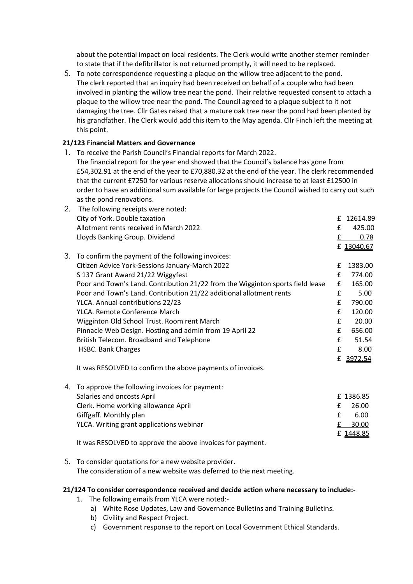about the potential impact on local residents. The Clerk would write another sterner reminder to state that if the defibrillator is not returned promptly, it will need to be replaced.

5. To note correspondence requesting a plaque on the willow tree adjacent to the pond. The clerk reported that an inquiry had been received on behalf of a couple who had been involved in planting the willow tree near the pond. Their relative requested consent to attach a plaque to the willow tree near the pond. The Council agreed to a plaque subject to it not damaging the tree. Cllr Gates raised that a mature oak tree near the pond had been planted by his grandfather. The Clerk would add this item to the May agenda. Cllr Finch left the meeting at this point.

# **21/123 Financial Matters and Governance**

1. To receive the Parish Council's Financial reports for March 2022. The financial report for the year end showed that the Council's balance has gone from £54,302.91 at the end of the year to £70,880.32 at the end of the year. The clerk recommended that the current £7250 for various reserve allocations should increase to at least £12500 in order to have an additional sum available for large projects the Council wished to carry out such as the pond renovations.

| 2. | The following receipts were noted:                                             |   |            |
|----|--------------------------------------------------------------------------------|---|------------|
|    | City of York. Double taxation                                                  | £ | 12614.89   |
|    | Allotment rents received in March 2022                                         | £ | 425.00     |
|    | Lloyds Banking Group. Dividend                                                 | £ | 0.78       |
|    |                                                                                |   | £ 13040.67 |
| 3. | To confirm the payment of the following invoices:                              |   |            |
|    | Citizen Advice York-Sessions January-March 2022                                | £ | 1383.00    |
|    | S 137 Grant Award 21/22 Wiggyfest                                              | £ | 774.00     |
|    | Poor and Town's Land. Contribution 21/22 from the Wigginton sports field lease | £ | 165.00     |
|    | Poor and Town's Land. Contribution 21/22 additional allotment rents            | £ | 5.00       |
|    | YLCA. Annual contributions 22/23                                               | £ | 790.00     |
|    | YLCA. Remote Conference March                                                  | £ | 120.00     |
|    | Wigginton Old School Trust. Room rent March                                    | £ | 20.00      |
|    | Pinnacle Web Design. Hosting and admin from 19 April 22                        | £ | 656.00     |
|    | British Telecom. Broadband and Telephone                                       | £ | 51.54      |
|    | <b>HSBC. Bank Charges</b>                                                      | £ | 8.00       |
|    |                                                                                | £ | 3972.54    |
|    | It was RESOLVED to confirm the above payments of invoices.                     |   |            |
| 4. | To approve the following invoices for payment:                                 |   |            |
|    | Salaries and oncosts April                                                     |   | £1386.85   |
|    | Clerk. Home working allowance April                                            | £ | 26.00      |

| CICIN. HOHIC WOLNING anowance April      | ZU.OU    |
|------------------------------------------|----------|
| Giffgaff. Monthly plan                   | 6.00     |
| YLCA. Writing grant applications webinar | £ 30.00  |
|                                          | £1448.85 |
|                                          |          |

It was RESOLVED to approve the above invoices for payment.

5. To consider quotations for a new website provider. The consideration of a new website was deferred to the next meeting.

#### **21/124 To consider correspondence received and decide action where necessary to include:-**

- 1. The following emails from YLCA were noted:
	- a) White Rose Updates, Law and Governance Bulletins and Training Bulletins.
	- b) Civility and Respect Project.
	- c) Government response to the report on Local Government Ethical Standards.